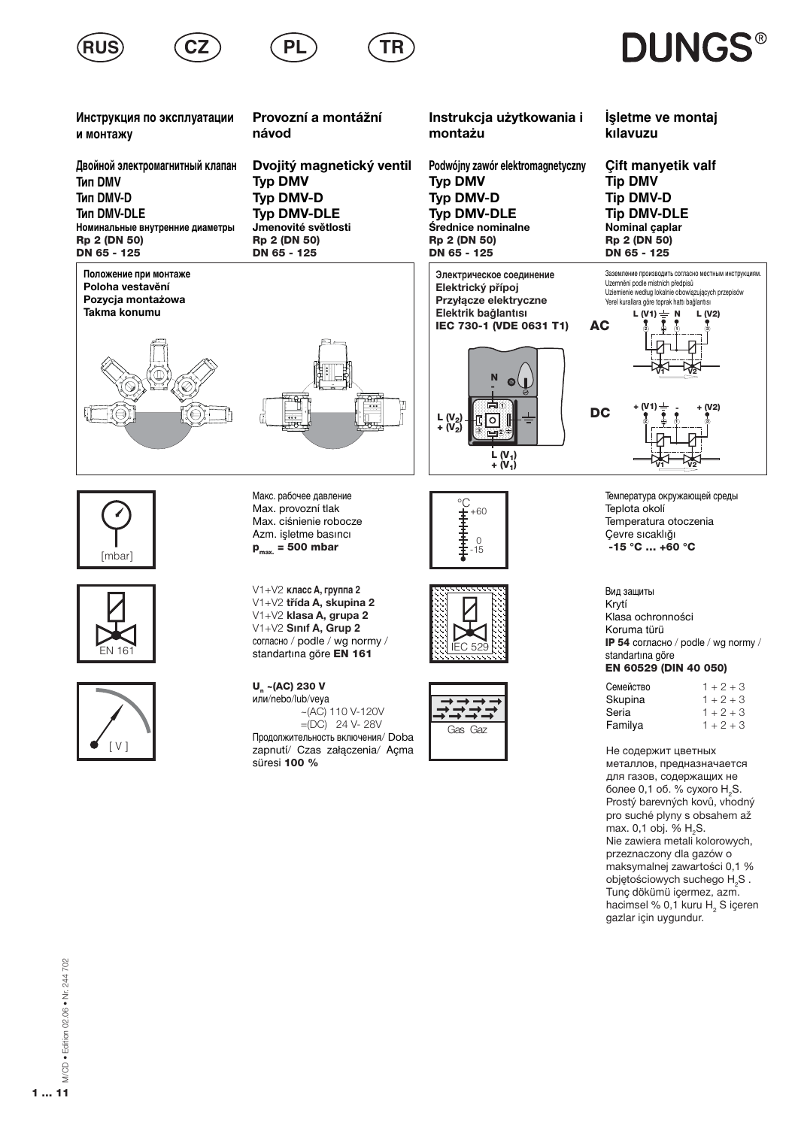





P

Инструкция по эксплуатации и монтажу

Двойной электромагнитный клапан **Тип DMV Тип DMV-D Тип DMV-DLE** Номинальные внутренние диаметры Rp 2 (DN 50) DN 65 - 125

Положение при монтаже Poloha vestavění Pozycja montażowa Takma konumu



Dvojitý magnetický ventil **Typ DMV** Typ DMV-D **Typ DMV-DLE** Jmenovité světlosti Rp 2 (DN 50) DN 65 - 125

Provozní a montážní

Ρl

návod

Instrukcja użytkowania i montażu

Podwójny zawór elektromagnetyczny **Typ DMV** Typ DMV-D **Typ DMV-DLE** Średnice nominalne Rp 2 (DN 50) DN 65 - 125

Электрическое соединение Elektrický přípoj Przyłącze elektryczne Elektrik bağlantısı IEC 730-1 (VDE 0631 T1)



İşletme ve montaj kılavuzu

**DUNGS®** 

**Cift manvetik valf Tip DMV Tip DMV-D Tip DMV-DLE** Nominal caplar Rp 2 (DN 50) DN 65 - 125



[mbar]





Макс. рабочее давление Max. provozní tlak Max. ciśnienie robocze Azm. işletme basıncı  $p_{max}$  = 500 mbar

V1+V2 класс A, группа 2 V1+V2 třída A, skupina 2 V1+V2 klasa A, grupa 2  $V1+V2$  Sinif A. Grup 2 согласно / podle / wg normy / standartina göre EN 161

U ~(AC) 230 V или/nebo/lub/veva  $\sim$  (AC) 110 V-120V  $=(DC)$  24 V-28V Продолжительность включения/ Doba zapnutí/ Czas załączenia/ Açma süresi 100 %







Температура окружающей среды Teplota okolí Temperatura otoczenia Çevre sıcaklığı  $-15 °C ... + 60 °C$ 

Вид защиты Krytí Klasa ochronności Koruma türü IP 54 согласно / podle / wg normy / standartına göre EN 60529 (DIN 40 050)

| Семейство | $1 + 2 + 3$ |
|-----------|-------------|
| Skupina   | $1 + 2 + 3$ |
| Seria     | $1 + 2 + 3$ |
| Familya   | $1 + 2 + 3$ |
|           |             |

Не содержит цветных металлов, предназначается для газов, содержащих не более 0,1 об. % сухого H<sub>2</sub>S. Prostý barevných kovů, vhodný pro suché plyny s obsahem až max. 0,1 obj. % H<sub>2</sub>S. Nie zawiera metali kolorowych, przeznaczony dla gazów o maksymalnej zawartości 0,1 % objętościowych suchego H<sub>2</sub>S. Tunc dökümü icermez, azm. hacimsel % 0,1 kuru H<sub>2</sub> S içeren gazlar için uygundur.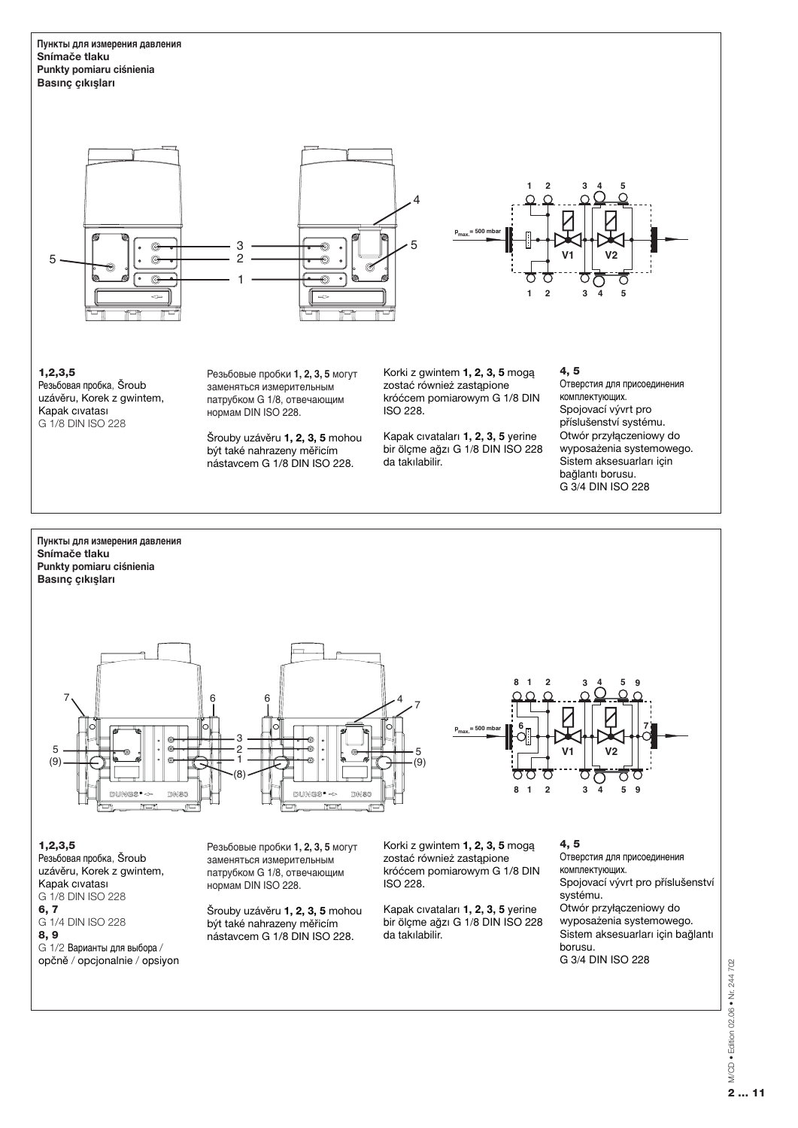Пункты для измерения давления **Snímače tlaku** Punkty pomiaru ciśnienia **Basinc** cikişları



 $1, 2, 3, 5$ Резьбовая пробка, Šroub uzávěru, Korek z gwintem, Kapak civatasi G 1/8 DIN ISO 228

Резьбовые пробки 1, 2, 3, 5 могут заменяться измерительным патрубком G 1/8, отвечающим нормам DIN ISO 228.

Šrouby uzávěru 1, 2, 3, 5 mohou být také nahrazeny měřicím nástavcem G 1/8 DIN ISO 228.

Korki z gwintem 1, 2, 3, 5 moga zostać również zastąpione króćcem pomiarowym G 1/8 DIN ISO 228.

Kapak cıvataları 1, 2, 3, 5 yerine bir ölçme ağzı G 1/8 DIN ISO 228 da takılabilir.

# $4, 5$

Отверстия для присоединения комплектующих. Spojovací vývrt pro příslušenství systému. Otwór przyłączeniowy do wyposażenia systemowego. Sistem aksesuarları için bağlantı borusu. G 3/4 DIN ISO 228



Резьбовая пробка, Šroub uzávěru, Korek z gwintem, Kapak cıvatası G 1/8 DIN ISO 228  $6.7$ G 1/4 DIN ISO 228 8,9  $G$  1/2 Варианты для выбора opčně / opcjonalnie / opsiyon заменяться измерительным патрубком G 1/8, отвечающим нормам DIN ISO 228.

Šrouby uzávěru 1, 2, 3, 5 mohou být také nahrazeny měřicím nástavcem G 1/8 DIN ISO 228.

zostać również zastapione króćcem pomiarowym G 1/8 DIN ISO 228.

Kapak civatalari 1, 2, 3, 5 yerine  $\frac{1}{2}$ bir ölçme ağzı G 1/8 DIN ISO 228 da takılabilir.

комплектующих. Spojovací vývrt pro příslušenství systému. Otwór przyłączeniowy do wyposażenia systemowego. Sistem aksesuarları için bağlantı borusu. G 3/4 DIN ISO 228

**y** M/CD • Edition 02.06 • Nr. 244 702<br>2 ... 11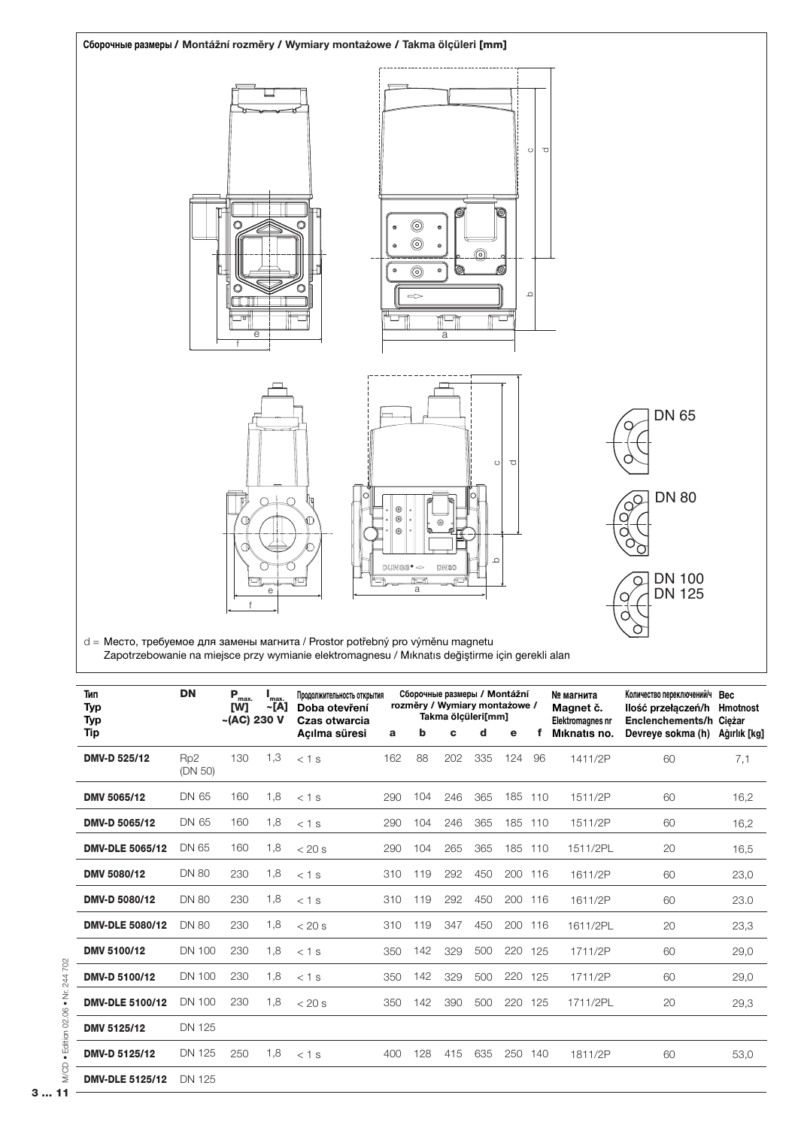

| Тип<br><b>Typ</b><br><b>Typ</b> | <b>DN</b>                  | $P_{\max}$<br>[W]<br>$-(AC)$ 230 V | 'max.<br>~[A] | Продолжительность открытия<br>Doba otevření<br>Czas otwarcia | Сборочные размеры / Montážní<br>rozměry / Wymiary montażowe /<br>Takma ölcüleri[mm] |     |     |     |     |         | № магнита<br>Magnet č.<br>Elektromagnes nr | Количество переключений/ч Вес<br>Ilość przełączeń/h Hmotnost<br>Enclenchements/h Cieżar |              |
|---------------------------------|----------------------------|------------------------------------|---------------|--------------------------------------------------------------|-------------------------------------------------------------------------------------|-----|-----|-----|-----|---------|--------------------------------------------|-----------------------------------------------------------------------------------------|--------------|
| Tip                             |                            |                                    |               | Acılma süresi                                                | a                                                                                   | b   | c   | d   | e   |         | Miknatis no.                               | Devreye sokma (h)                                                                       | Ağırlık [kg] |
| <b>DMV-D 525/12</b>             | Rp <sub>2</sub><br>(DN 50) | 130                                | 1,3           | $<$ 1 s                                                      | 162                                                                                 | 88  | 202 | 335 | 124 | 96      | 1411/2P                                    | 60                                                                                      | 7,1          |
| DMV 5065/12                     | DN 65                      | 160                                | 1,8           | $< 1$ s                                                      | 290                                                                                 | 104 | 246 | 365 |     | 185 110 | 1511/2P                                    | 60                                                                                      | 16,2         |
| DMV-D 5065/12                   | DN 65                      | 160                                | 1,8           | $< 1$ s                                                      | 290                                                                                 | 104 | 246 | 365 | 185 | 110     | 1511/2P                                    | 60                                                                                      | 16,2         |
| <b>DMV-DLE 5065/12</b>          | DN 65                      | 160                                | 1,8           | $< 20$ s                                                     | 290                                                                                 | 104 | 265 | 365 |     | 185 110 | 1511/2PL                                   | 20                                                                                      | 16,5         |
| DMV 5080/12                     | <b>DN 80</b>               | 230                                | 1,8           | $< 1$ s                                                      | 310                                                                                 | 119 | 292 | 450 |     | 200 116 | 1611/2P                                    | 60                                                                                      | 23,0         |
| DMV-D 5080/12                   | <b>DN 80</b>               | 230                                | 1,8           | $< 1$ s                                                      | 310                                                                                 | 119 | 292 | 450 | 200 | 116     | 1611/2P                                    | 60                                                                                      | 23.0         |
| <b>DMV-DLE 5080/12</b>          | <b>DN 80</b>               | 230                                | 1,8           | $< 20$ s                                                     | 310                                                                                 | 119 | 347 | 450 |     | 200 116 | 1611/2PL                                   | 20                                                                                      | 23,3         |
| <b>DMV 5100/12</b>              | <b>DN 100</b>              | 230                                | 1,8           | $< 1$ s                                                      | 350                                                                                 | 142 | 329 | 500 |     | 220 125 | 1711/2P                                    | 60                                                                                      | 29,0         |
| <b>DMV-D 5100/12</b>            | <b>DN 100</b>              | 230                                | 1,8           | $< 1$ s                                                      | 350                                                                                 | 142 | 329 | 500 |     | 220 125 | 1711/2P                                    | 60                                                                                      | 29,0         |
| <b>DMV-DLE 5100/12</b>          | <b>DN 100</b>              | 230                                | 1,8           | $< 20$ s                                                     | 350                                                                                 | 142 | 390 | 500 | 220 | 125     | 1711/2PL                                   | 20                                                                                      | 29,3         |
| <b>DMV 5125/12</b>              | DN 125                     |                                    |               |                                                              |                                                                                     |     |     |     |     |         |                                            |                                                                                         |              |
| DMV-D 5125/12                   | DN 125                     | 250                                | 1,8           | $< 1$ s                                                      | 400                                                                                 | 128 | 415 | 635 |     | 250 140 | 1811/2P                                    | 60                                                                                      | 53,0         |
| <b>DMV-DLE 5125/12</b>          | DN 125                     |                                    |               |                                                              |                                                                                     |     |     |     |     |         |                                            |                                                                                         |              |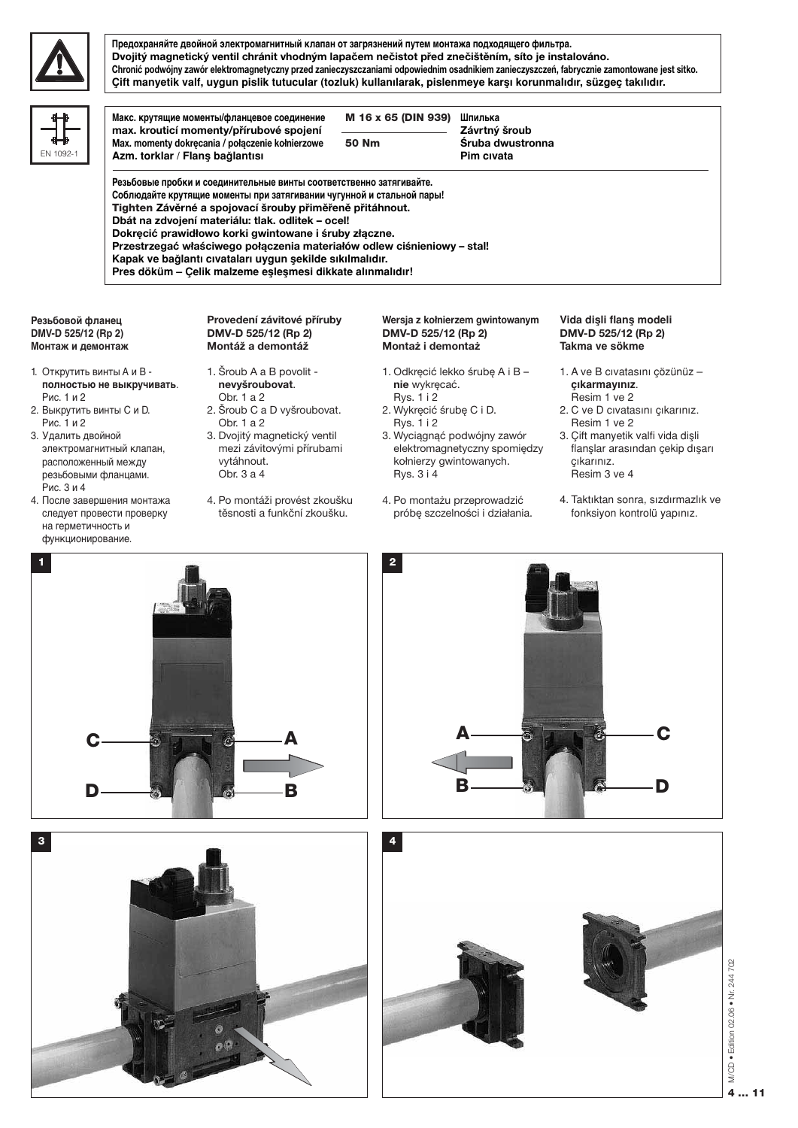

EN 109

Предохраняйте двойной электромагнитный клапан от загрязнений путем монтажа подходящего фильтра. Dvojitý magnetický ventil chránit vhodným lapačem nečistot před znečištěním, síto je instalováno. Chronić podwójny zawór elektromagnetyczny przed zanieczyszczaniami odpowiednim osadnikiem zanieczyszczeń, fabrycznie zamontowane jest sitko. Çift manyetik valf, uygun pislik tutucular (tozluk) kullanılarak, pislenmeye karşı korunmalıdır, süzgeç takılıdır.

| Макс. крутящие моменты/фланцевое соединение<br>max. krouticí momenty/přírubové spojení                                                       | M 16 x 65 (DIN 939) | Шпилька<br>Závrtný šroub |  |
|----------------------------------------------------------------------------------------------------------------------------------------------|---------------------|--------------------------|--|
| Max. momenty dokręcania / połączenie kołnierzowe                                                                                             | 50 Nm               | Śruba dwustronna         |  |
| Azm. torklar / Flans bağlantısı                                                                                                              |                     | Pim civata               |  |
| Резьбовые пробки и соединительные винты соответственно затягивайте.<br>Соблюдайте крутящие моменты при затягивании чугунной и стальной пары! |                     |                          |  |
| Tighten Závěrné a spojovací šrouby přiměřeně přitáhnout.<br>Dbát na zdvojení materiálu: tlak. odlitek - ocel!                                |                     |                          |  |
| Dokręcić prawidłowo korki gwintowane i śruby złączne.<br>Przestrzegać właściwego połączenia materiałów odlew ciśnieniowy - stal!             |                     |                          |  |

#### Резьбовой фланец DMV-D 525/12 (Rp 2) Монтаж и демонтаж

- 1. Открутить винты А и В полностью не выкручивать. Рис. 1 и 2
- 2. Выкрутить винты С и D. Рис. 1 и 2
- 3. Удалить двойной электромагнитный клапан, расположенный между резьбовыми фланцами. Рис. 3 и 4
- 4. После завершения монтажа следует провести проверку на герметичность и функционирование.

Provedení závitové příruby DMV-D 525/12 (Rp 2) Montáž a demontáž

- 1. Šroub A a B povolit nevyšroubovat. Obr. 1 a 2 2. Šroub C a D vyšroubovat.
- Obr. 1 a 2 3. Dvojitý magnetický ventil mezi závitovými přírubami vytáhnout. Obr. 3 a 4
- 4. Po montáži provést zkoušku těsnosti a funkční zkoušku.

Wersja z kołnierzem gwintowanym DMV-D 525/12 (Rp 2) Montaż i demontaż

- 1. Odkręcić lekko śrubę A i B nie wykręcać. **Rys. 1 i 2**
- 2. Wykręcić śrubę C i D. Rys. 1 i 2
- 3. Wyciągnąć podwójny zawór elektromagnetyczny spomiędzy kołnierzy gwintowanych. Rys. 3 i 4
- 4. Po montażu przeprowadzić próbe szczelności i działania.

# Vida dişli flanş modeli DMV-D 525/12 (Rp 2) Takma ve sökme

- 1. A ve B cıvatasını çözünüz çıkarmayınız. Resim 1 ve 2
- 2. C ve D civatasini çıkarınız. Resim 1 ve 2
- 3. Çift manyetik valfi vida dişli flanslar arasından çekip dışarı çıkarınız. Resim 3 ve 4
- 4. Taktıktan sonra, sızdırmazlık ve fonksiyon kontrolü yapınız.







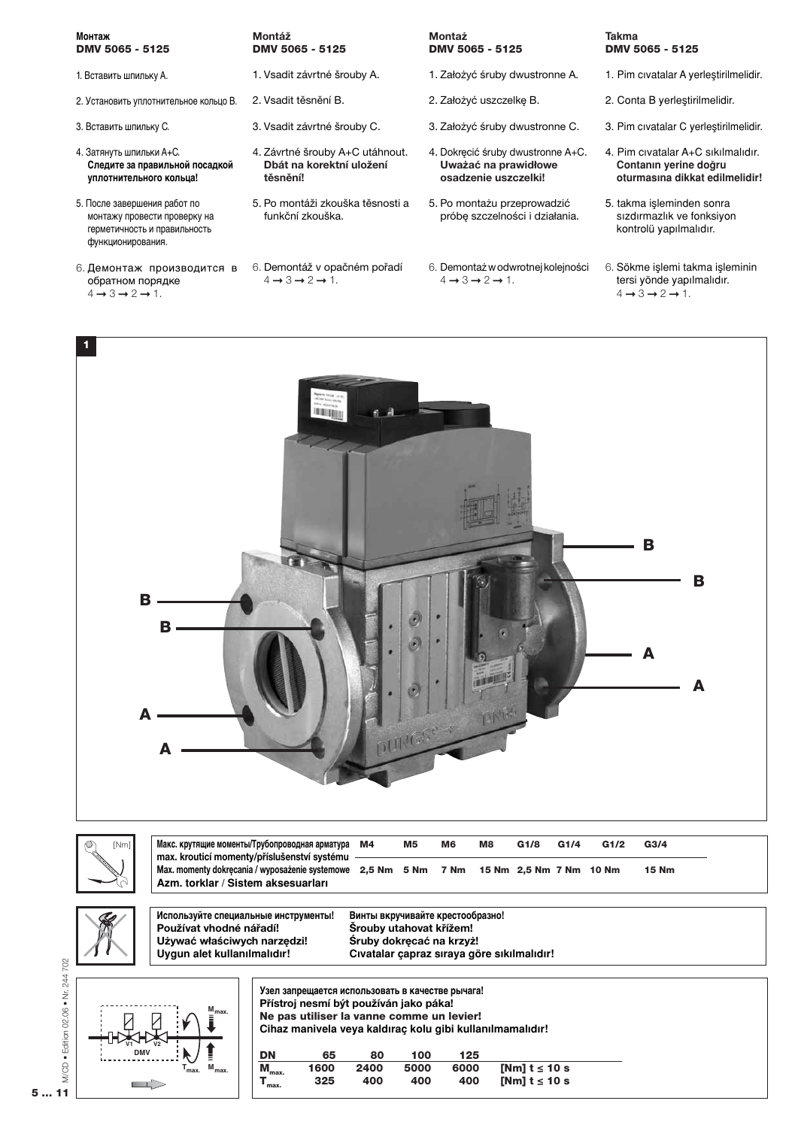# Монтаж DMV 5065 - 5125

- 1. Вставить шпильку А.
- 2. Установить уплотнительное кольцо В.
- 3. Вставить шпильку С.
- 4. Затянуть шпильки А+С. Следите за правильной посадкой уплотнительного кольца!
- 5. После завершения работ по монтажу провести проверку на герметичность и правильность функционирования.
- 6. Демонтаж производится в обратном порядке  $4 \rightarrow 3 \rightarrow 2 \rightarrow 1$ .

### Montáž DMV 5065 - 5125

- 1. Vsadit závrtné šrouby A.
- 2. Vsadit těsnění B.
- 3. Vsadit závrtné šrouby C.
- 4. Závrtné šrouby A+C utáhnout. Dbát na korektní uložení těsnění!
- 5. Po montáži zkouška těsnosti a funkční zkouška.
- 6. Demontáž v opačném pořadí  $4 \rightarrow 3 \rightarrow 2 \rightarrow 1$ .

# Montaż DMV 5065 - 5125

- 1. Założyć śruby dwustronne A.
- 2. Założyć uszczelkę B.
- 3. Założyć śruby dwustronne C.
- 4. Dokręcić śruby dwustronne A+C. Uważać na prawidłowe osadzenie uszczelki!
- 5. Po montażu przeprowadzić próbe szczelności i działania.
- 6. Demontaż w odwrotnej kolejności  $4 \rightarrow 3 \rightarrow 2 \rightarrow 1$ .

# **Takma** DMV 5065 - 5125

- 1. Pim cıvatalar A yerleştirilmelidir.
- 2. Conta B yerleştirilmelidir.
- 3. Pim cıvatalar C yerleştirilmelidir.
- 4. Pim cıvatalar A+C sıkılmalıdır. Contanın yerine doğru oturmasına dikkat edilmelidir!
- 5. takma isleminden sonra sızdırmazlık ve fonksiyon kontrolü yapılmalıdır.
- 6. Sökme islemi takma isleminin tersi yönde yapılmalıdır.  $4 \rightarrow 3 \rightarrow 2 \rightarrow 1$ .



 $5...11$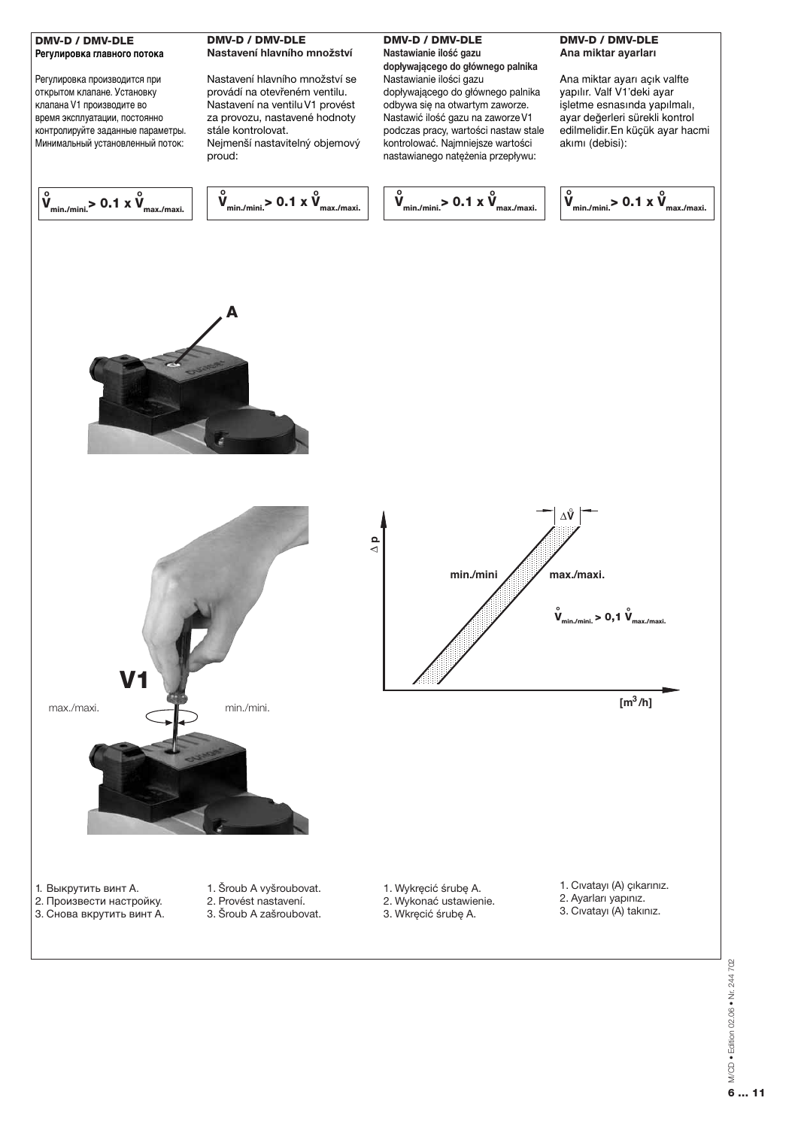# DMV-D / DMV-DLE Регулировка главного потока

Регулировка производится при открытом клапане. Установку клапана V1 производите во время эксплуатации, постоянно контролируйте заданные параметры. Минимальный установленный поток:

# **DMV-D / DMV-DLE** Nastavení hlavního množství

Nastavení hlavního množství se provádí na otevřeném ventilu. Nastavení na ventilu V1 provést za provozu, nastavené hodnoty stále kontrolovat. Neimenší nastavitelný obiemový proud:

# **DMV-D / DMV-DLE** Nastawianie ilość gazu

dopływającego do głównego palnika Nastawianie ilości gazu dopływającego do głównego palnika odbywa się na otwartym zaworze. Nastawić ilość gazu na zaworze V1 podczas pracy, wartości nastaw stale kontrolować. Naimniejsze wartości nastawianego natężenia przepływu:

# **DMV-D / DMV-DLE** Ana miktar ayarları

Ana miktar ayarı açık valfte yapılır. Valf V1'deki ayar işletme esnasında yapılmalı, ayar değerleri sürekli kontrol edilmelidir.En küçük ayar hacmi akımı (debisi):

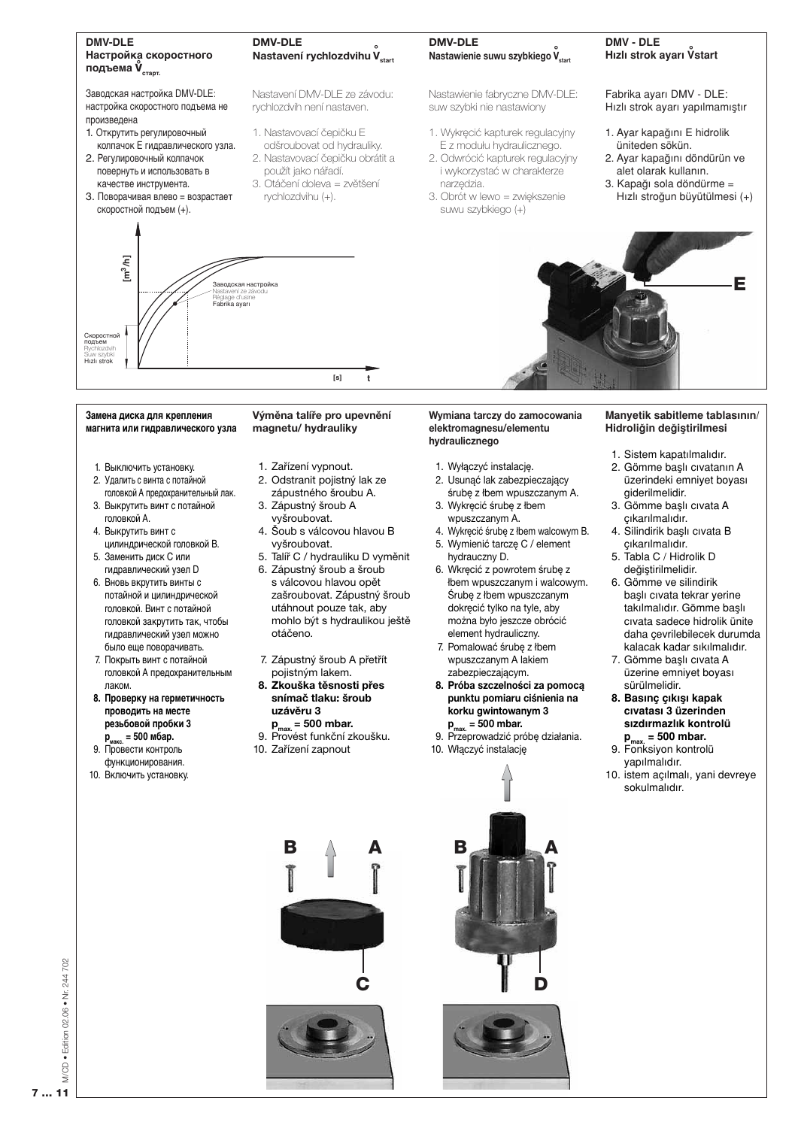

#### Замена диска для крепления магнита или гидравлического узла

- 1. Выключить установку.
- 2. Удалить с винта с потайной головкой А предохранительный лак. 3. Выкрутить винт с потайной
- головкой А. 4. Выкрутить винт с
- цилиндрической головкой В. 5. Заменить диск С или
- гидравлический узел D 6. Вновь вкрутить винты с потайной и цилиндрической головкой. Винт с потайной
- головкой закрутить так, чтобы гидравлический узел можно было еще поворачивать. 7. Покрыть винт с потайной
- головкой А предохранительным паком
- 8. Проверку на герметичность проводить на месте резьбовой пробки 3
- $p_{\text{masc.}} = 500 \text{ m6ap.}$ 9. Провести контроль
- функционирования.
- 10. Включить установку.

Výměna talíře pro upevnění magnetu/hydrauliky

- 1. Zařízení vypnout.
- 2. Odstranit pojistný lak ze
- zápustného šroubu A. 3. Zápustný šroub A vyšroubovat.
- 4. Šoub s válcovou hlavou B vyšroubovat.
- 5. Talíř C / hydrauliku D vyměnit 6. Zápustný šroub a šroub
- s válcovou hlavou opět zašroubovat. Zápustný šroub utáhnout pouze tak, aby mohlo být s hydraulikou ještě otáčeno.
- 7. Zápustný šroub A přetřít pojistným lakem.
- 8. Zkouška těsnosti přes snímač tlaku: šroub uzávěru 3  $p_{max}$  = 500 mbar.
- 9. Provést funkční zkoušku. 10. Zařízení zapnout

#### Wymiana tarczy do zamocowania elektromagnesu/elementu hydraulicznego

- 1. Wyłączyć instalację.
- 2. Usunąć lak zabezpieczający śrubę z łbem wpuszczanym A.
- 3. Wykręcić śrubę z łbem wpuszczanym A.
- 4. Wykręcić śrubę z łbem walcowym B. 5. Wymienić tarczę C / element hydrauczny D.
- 6. Wkręcić z powrotem śrubę z łbem wpuszczanym i walcowym. Śrube z łbem wnuszczanym dokrecić tylko na tyle, aby można było jeszcze obrócić element hydrauliczny.
- 7. Pomalować śrubę z łbem wpuszczanym A lakiem zabezpieczającym.
- 8. Próba szczelności za pomoca punktu pomiaru ciśnienia na korku gwintowanym 3  $p_{max}$  = 500 mbar.
- 9. Przeprowadzić próbę działania. 10. Włączyć instalację

#### Manyetik sabitleme tablasının/ Hidroliğin değiştirilmesi

- 1. Sistem kapatılmalıdır.
- 2. Gömme baslı cıvatanın A üzerindeki emniyet boyası aiderilmelidir.
- 3. Gömme başlı cıvata A cıkarılmalıdır.
- 4. Silindirik başlı cıvata B çıkarılmalıdır.
- 5. Tabla C / Hidrolik D değiştirilmelidir.
- 6. Gömme ve silindirik başlı cıvata tekrar yerine takılmalıdır. Gömme başlı civata sadece hidrolik ünite daha çevrilebilecek durumda kalacak kadar sıkılmalıdır.
- 7. Gömme başlı cıvata A üzerine emniyet boyası sürülmelidir
- 8. Basınc cıkısı kapak cıvatası 3 üzerinden sızdırmazlık kontrolü
- $\mathbf{p}_{\text{max}} = 500 \text{ mbar.}$ 9. Fonksiyon kontrolü
- yapılmalıdır.
- 10. istem açılmalı, yani devreye sokulmalıdır.

Edition 02.06 . Nr. 244 702 M/CD.  $7...$  $11$ 

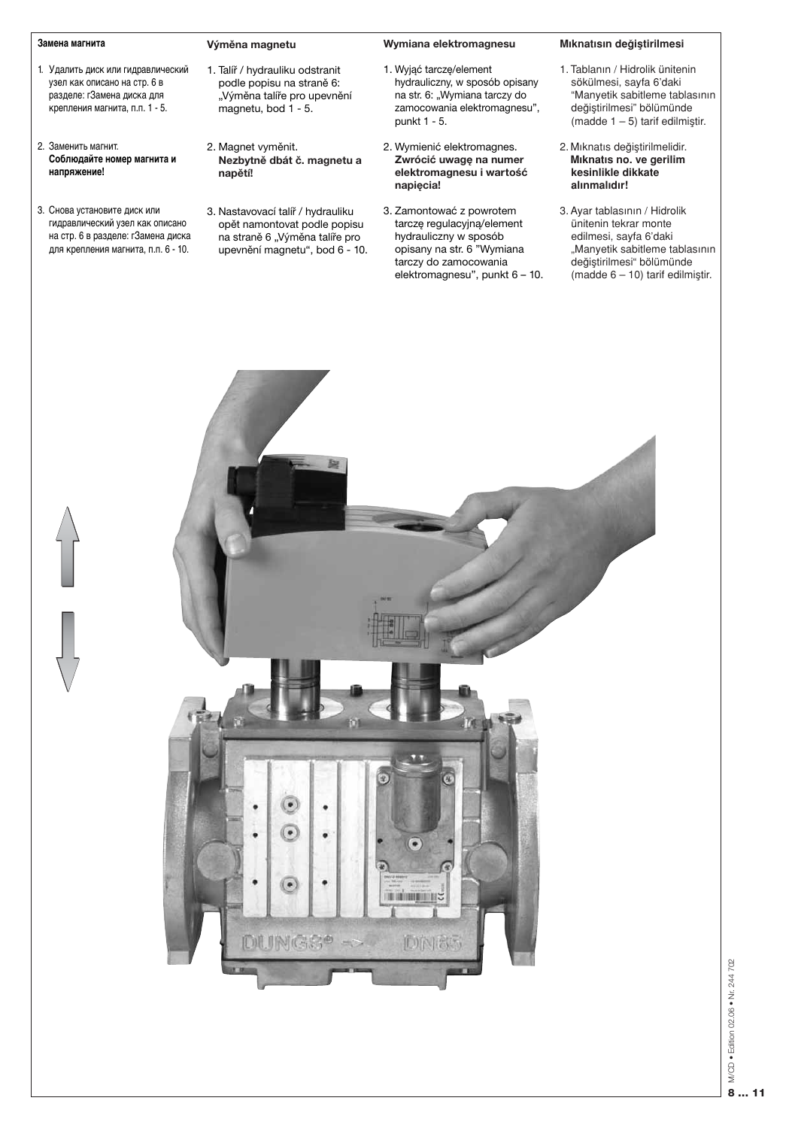#### Замена магнита

- 1. Удалить диск или гидравлический узел как описано на стр. 6 в разделе: гЗамена диска для крепления магнита, п.п. 1 - 5.
- 2. Заменить магнит. Соблюдайте номер магнита и напряжение!
- 3. Снова установите диск или гидравлический узел как описано на стр. 6 в разделе: гЗамена диска для крепления магнита, п.п. 6 - 10.

#### Výměna magnetu

- 1. Talíř / hydrauliku odstranit podle popisu na straně 6: "Výměna talíře pro upevnění magnetu, bod 1 - 5.
- 2. Magnet vyměnit. Nezbytně dbát č. magnetu a napětí!
- 3. Nastavovací talíř / hydrauliku opět namontovat podle popisu na straně 6 "Výměna talíře pro upevnění magnetu", bod 6 - 10.

#### Wymiana elektromagnesu

- 1. Wyjąć tarczę/element hydrauliczny, w sposób opisany na str. 6: "Wymiana tarczy do zamocowania elektromagnesu", punkt 1 - 5.
- 2. Wymienić elektromagnes. Zwrócić uwagę na numer elektromagnesu i wartość napiecia!
- 3. Zamontować z powrotem tarczę regulacyjną/element hydrauliczny w sposób opisany na str. 6 "Wymiana tarczy do zamocowania elektromagnesu", punkt 6 - 10.

#### Mıknatısın değiştirilmesi

- 1. Tablanın / Hidrolik ünitenin sökülmesi, sayfa 6'daki "Manyetik sabitleme tablasının değiştirilmesi" bölümünde (madde  $1 - 5$ ) tarif edilmiştir.
- 2. Mıknatıs değiştirilmelidir. Miknatis no. ve gerilim kesinlikle dikkate alınmalıdır!
- 3. Ayar tablasının / Hidrolik ünitenin tekrar monte edilmesi, sayfa 6'daki "Manyetik sabitleme tablasının değiştirilmesi" bölümünde  $(madde 6 - 10)$  tarif edilmiştir.

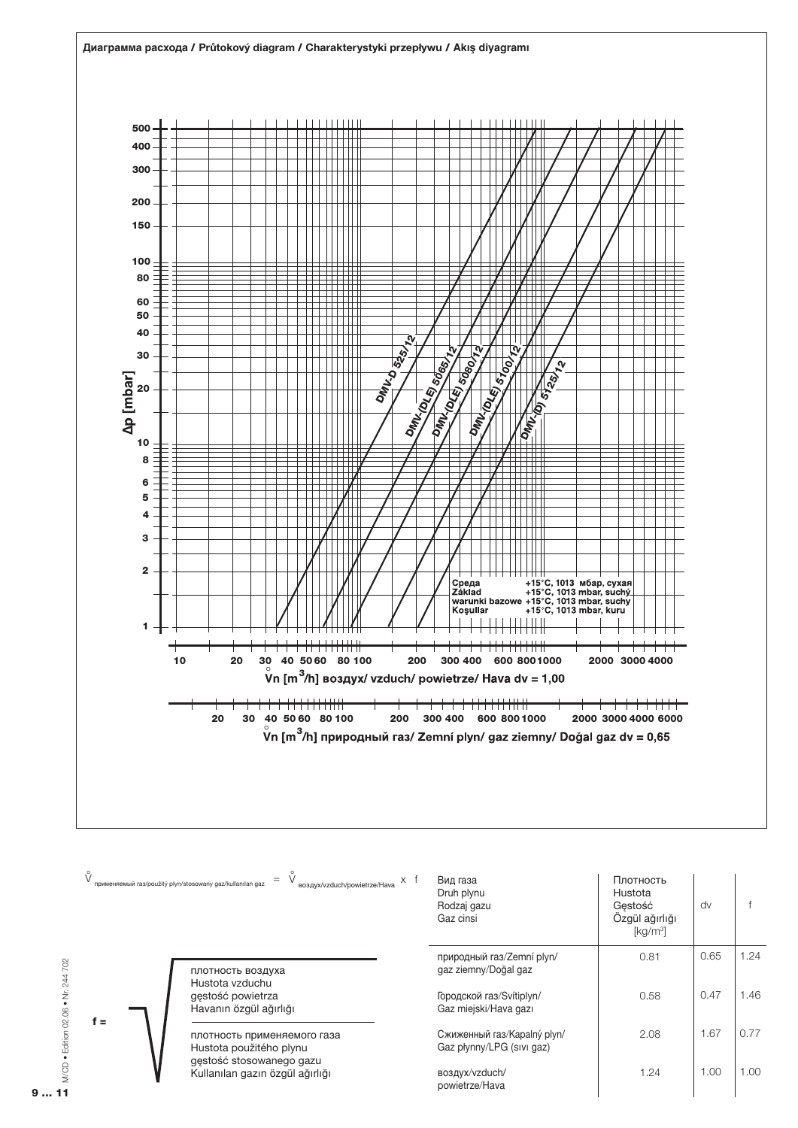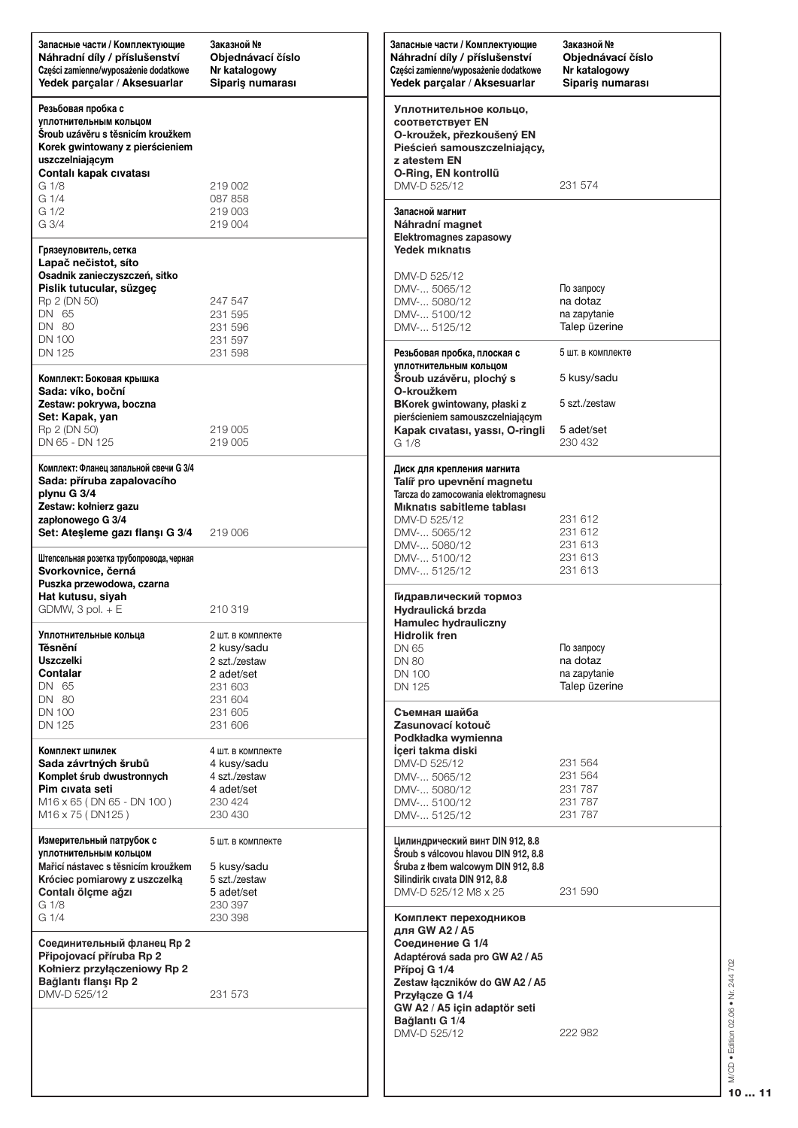| Запасные части / Комплектующие<br>Náhradní díly / příslušenství<br>Części zamienne/wyposażenie dodatkowe<br>Yedek parçalar / Aksesuarlar                                                                                    | Заказной №<br>Objednávací číslo<br>Nr katalogowy<br>Sipariş numarası                                        | Запасные части / Комплектующие<br>Náhradní díly / příslušenství<br>Części zamienne/wyposażenie dodatkowe<br>Yedek parçalar / Aksesuarlar                                                                          | Заказной №<br>Objednávací číslo<br>Nr katalogowy<br>Siparis numarası         |
|-----------------------------------------------------------------------------------------------------------------------------------------------------------------------------------------------------------------------------|-------------------------------------------------------------------------------------------------------------|-------------------------------------------------------------------------------------------------------------------------------------------------------------------------------------------------------------------|------------------------------------------------------------------------------|
| Резьбовая пробка с<br>уплотнительным кольцом<br>Sroub uzávěru s těsnicím kroužkem<br>Korek gwintowany z pierścieniem<br>uszczelniającym<br>Contalı kapak cıvatası<br>G <sub>1/8</sub><br>G <sub>1/4</sub><br>G 1/2<br>G 3/4 | 219 002<br>087 858<br>219 003<br>219 004                                                                    | Уплотнительное кольцо,<br>соответствует EN<br>O-kroužek, přezkoušený EN<br>Pieścień samouszczelniający,<br>z atestem EN<br>O-Ring, EN kontrollü<br>DMV-D 525/12<br>Запасной магнит                                | 231 574                                                                      |
| Грязеуловитель, сетка<br>Lapač nečistot, síto<br>Osadnik zanieczyszczeń, sitko<br>Pislik tutucular, süzgeç<br>Rp 2 (DN 50)<br>DN 65<br>DN 80<br><b>DN 100</b><br>DN 125                                                     | 247 547<br>231 595<br>231 596<br>231 597<br>231 598                                                         | Náhradní magnet<br>Elektromagnes zapasowy<br>Yedek miknatis<br>DMV-D 525/12<br>DMV- 5065/12<br>DMV- 5080/12<br>DMV- 5100/12<br>DMV- 5125/12<br>Резьбовая пробка, плоская с                                        | По запросу<br>na dotaz<br>na zapytanie<br>Talep üzerine<br>5 шт. в комплекте |
| Комплект: Боковая крышка<br>Sada: víko, boční<br>Zestaw: pokrywa, boczna<br>Set: Kapak, yan<br>Rp 2 (DN 50)<br>DN 65 - DN 125                                                                                               | 219 005<br>219 005                                                                                          | уплотнительным кольцом<br>Šroub uzávěru, plochý s<br>O-kroužkem<br>BKorek gwintowany, płaski z<br>pierścieniem samouszczelniającym<br>Kapak cıvatası, yassı, O-ringli<br>G <sub>1/8</sub>                         | 5 kusy/sadu<br>5 szt./zestaw<br>5 adet/set<br>230 432                        |
| Комплект: Фланец запальной свечи G 3/4<br>Sada: příruba zapalovacího<br>plynu G 3/4<br>Zestaw: kołnierz gazu<br>zapłonowego G 3/4<br>Set: Atesleme gazı flanşı G 3/4<br>Штепсельная розетка трубопровода, черная            | 219 006                                                                                                     | Диск для крепления магнита<br>Talíř pro upevnění magnetu<br>Tarcza do zamocowania elektromagnesu<br>Miknatis sabitleme tablası<br>DMV-D 525/12<br>DMV- 5065/12<br>DMV- 5080/12<br>DMV- 5100/12                    | 231 612<br>231 612<br>231 613<br>231 613                                     |
| Svorkovnice, černá<br>Puszka przewodowa, czarna<br>Hat kutusu, siyah<br>$GDMW$ , 3 pol. $+E$<br>Уплотнительные кольца<br>Těsnění<br><b>Uszczelki</b><br>Contalar<br>DN 65                                                   | 210 319<br>2 шт. в комплекте<br>2 kusy/sadu<br>2 szt./zestaw<br>2 adet/set<br>231 603                       | DMV- 5125/12<br>Гидравлический тормоз<br>Hydraulická brzda<br><b>Hamulec hydrauliczny</b><br><b>Hidrolik fren</b><br>DN 65<br><b>DN 80</b><br>DN 100<br>DN 125                                                    | 231 613<br>По запросу<br>na dotaz<br>na zapytanie<br>Talep üzerine           |
| DN 80<br><b>DN 100</b><br>DN 125<br>Комплект шпилек<br>Sada závrtných šrubů<br>Komplet śrub dwustronnych<br>Pim civata seti<br>M16 x 65 (DN 65 - DN 100)                                                                    | 231 604<br>231 605<br>231 606<br>4 шт. в комплекте<br>4 kusy/sadu<br>4 szt./zestaw<br>4 adet/set<br>230 424 | Съемная шайба<br>Zasunovací kotouč<br>Podkładka wymienna<br>İceri takma diski<br>DMV-D 525/12<br>DMV- 5065/12<br>DMV- 5080/12<br>DMV- 5100/12                                                                     | 231 564<br>231 564<br>231 787<br>231 787                                     |
| M <sub>16</sub> x 75 (DN <sub>125</sub> )<br>Измерительный патрубок с<br>уплотнительным кольцом<br>Mařicí nástavec s těsnicím kroužkem<br>Króciec pomiarowy z uszczelką<br>Contalı ölçme ağzı<br>G 1/8<br>G <sub>1/4</sub>  | 230 430<br>5 шт. в комплекте<br>5 kusy/sadu<br>5 szt./zestaw<br>5 adet/set<br>230 397<br>230 398            | DMV- 5125/12<br>Цилиндрический винт DIN 912, 8.8<br>Šroub s válcovou hlavou DIN 912, 8.8<br>Śruba z łbem walcowym DIN 912, 8.8<br>Silindirik cıvata DIN 912, 8.8<br>DMV-D 525/12 M8 x 25<br>Комплект переходников | 231 787<br>231 590                                                           |
| Соединительный фланец Rp 2<br>Připojovací příruba Rp 2<br>Kołnierz przyłączeniowy Rp 2<br>Bağlantı flanşı Rp 2<br>DMV-D 525/12                                                                                              | 231 573                                                                                                     | для GW A2 / A5<br>Соединение G 1/4<br>Adaptérová sada pro GW A2 / A5<br>Přípoj G 1/4<br>Zestaw łączników do GW A2 / A5<br>Przyłącze G 1/4<br>GW A2 / A5 için adaptör seti<br>Bağlantı G 1/4                       |                                                                              |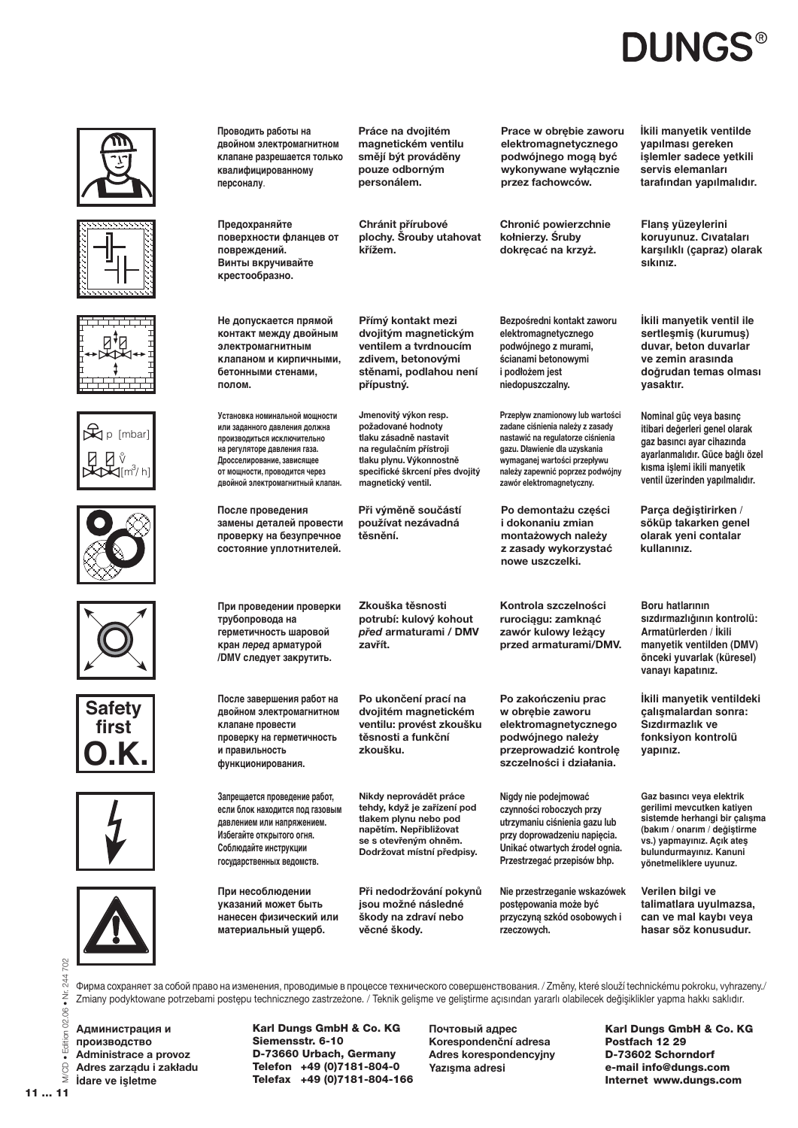# **DUNGS®**



Фирма сохраняет за собой право на изменения, проводимые в процессе технического совершенствования. / Změny, které slouží technickému pokroku, vyhrazeny./ Zmiany podyktowane potrzebami postępu technicznego zastrzeżone. / Teknik gelisme ve gelistirme açısından yararlı olabilecek değişiklikler yapma hakkı saklıdır.

Администрация и производство Administrace a provoz Adres zarządu i zakładu İdare ve işletme

Karl Dungs GmbH & Co. KG Siemensstr. 6-10 D-73660 Urbach, Germany Telefon +49 (0)7181-804-0 Telefax +49 (0) 7181-804-166 Почтовый адрес Korespondenční adresa Adres korespondencyjny Yazışma adresi

Karl Dungs GmbH & Co. KG Postfach 12 29 D-73602 Schorndorf e-mail info@dungs.com Internet www.dungs.com

702 244

Edition 02.06 . Nr.

MCD.